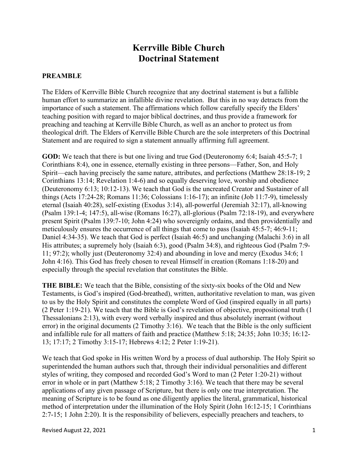## Kerrville Bible Church Doctrinal Statement

## **PREAMBLE**

The Elders of Kerrville Bible Church recognize that any doctrinal statement is but a fallible human effort to summarize an infallible divine revelation. But this in no way detracts from the importance of such a statement. The affirmations which follow carefully specify the Elders' teaching position with regard to major biblical doctrines, and thus provide a framework for preaching and teaching at Kerrville Bible Church, as well as an anchor to protect us from theological drift. The Elders of Kerrville Bible Church are the sole interpreters of this Doctrinal Statement and are required to sign a statement annually affirming full agreement.

GOD: We teach that there is but one living and true God (Deuteronomy 6:4; Isaiah 45:5-7; 1 Corinthians 8:4), one in essence, eternally existing in three persons—Father, Son, and Holy Spirit—each having precisely the same nature, attributes, and perfections (Matthew 28:18-19; 2 Corinthians 13:14; Revelation 1:4-6) and so equally deserving love, worship and obedience (Deuteronomy 6:13; 10:12-13). We teach that God is the uncreated Creator and Sustainer of all things (Acts 17:24-28; Romans 11:36; Colossians 1:16-17); an infinite (Job 11:7-9), timelessly eternal (Isaiah 40:28), self-existing (Exodus 3:14), all-powerful (Jeremiah 32:17), all-knowing (Psalm 139:1-4; 147:5), all-wise (Romans 16:27), all-glorious (Psalm 72:18-19), and everywhere present Spirit (Psalm 139:7-10; John 4:24) who sovereignly ordains, and then providentially and meticulously ensures the occurrence of all things that come to pass (Isaiah 45:5-7; 46:9-11; Daniel 4:34-35). We teach that God is perfect (Isaiah 46:5) and unchanging (Malachi 3:6) in all His attributes; a supremely holy (Isaiah 6:3), good (Psalm 34:8), and righteous God (Psalm 7:9- 11; 97:2); wholly just (Deuteronomy 32:4) and abounding in love and mercy (Exodus 34:6; 1 John 4:16). This God has freely chosen to reveal Himself in creation (Romans 1:18-20) and especially through the special revelation that constitutes the Bible.

THE BIBLE: We teach that the Bible, consisting of the sixty-six books of the Old and New Testaments, is God's inspired (God-breathed), written, authoritative revelation to man, was given to us by the Holy Spirit and constitutes the complete Word of God (inspired equally in all parts) (2 Peter 1:19-21). We teach that the Bible is God's revelation of objective, propositional truth (1 Thessalonians 2:13), with every word verbally inspired and thus absolutely inerrant (without error) in the original documents (2 Timothy 3:16). We teach that the Bible is the only sufficient and infallible rule for all matters of faith and practice (Matthew 5:18; 24:35; John 10:35; 16:12- 13; 17:17; 2 Timothy 3:15-17; Hebrews 4:12; 2 Peter 1:19-21).

We teach that God spoke in His written Word by a process of dual authorship. The Holy Spirit so superintended the human authors such that, through their individual personalities and different styles of writing, they composed and recorded God's Word to man (2 Peter 1:20-21) without error in whole or in part (Matthew 5:18; 2 Timothy 3:16). We teach that there may be several applications of any given passage of Scripture, but there is only one true interpretation. The meaning of Scripture is to be found as one diligently applies the literal, grammatical, historical method of interpretation under the illumination of the Holy Spirit (John 16:12-15; 1 Corinthians 2:7-15; 1 John 2:20). It is the responsibility of believers, especially preachers and teachers, to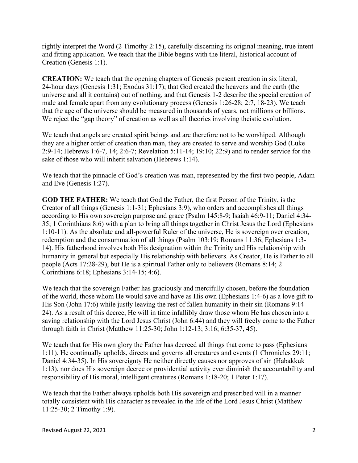rightly interpret the Word (2 Timothy 2:15), carefully discerning its original meaning, true intent and fitting application. We teach that the Bible begins with the literal, historical account of Creation (Genesis 1:1).

CREATION: We teach that the opening chapters of Genesis present creation in six literal, 24-hour days (Genesis 1:31; Exodus 31:17); that God created the heavens and the earth (the universe and all it contains) out of nothing, and that Genesis 1-2 describe the special creation of male and female apart from any evolutionary process (Genesis 1:26-28; 2:7, 18-23). We teach that the age of the universe should be measured in thousands of years, not millions or billions. We reject the "gap theory" of creation as well as all theories involving theistic evolution.

We teach that angels are created spirit beings and are therefore not to be worshiped. Although they are a higher order of creation than man, they are created to serve and worship God (Luke 2:9-14; Hebrews 1:6-7, 14; 2:6-7; Revelation 5:11-14; 19:10; 22:9) and to render service for the sake of those who will inherit salvation (Hebrews 1:14).

We teach that the pinnacle of God's creation was man, represented by the first two people, Adam and Eve (Genesis 1:27).

GOD THE FATHER: We teach that God the Father, the first Person of the Trinity, is the Creator of all things (Genesis 1:1-31; Ephesians 3:9), who orders and accomplishes all things according to His own sovereign purpose and grace (Psalm 145:8-9; Isaiah 46:9-11; Daniel 4:34- 35; 1 Corinthians 8:6) with a plan to bring all things together in Christ Jesus the Lord (Ephesians 1:10-11). As the absolute and all-powerful Ruler of the universe, He is sovereign over creation, redemption and the consummation of all things (Psalm 103:19; Romans 11:36; Ephesians 1:3- 14). His fatherhood involves both His designation within the Trinity and His relationship with humanity in general but especially His relationship with believers. As Creator, He is Father to all people (Acts 17:28-29), but He is a spiritual Father only to believers (Romans 8:14; 2 Corinthians 6:18; Ephesians 3:14-15; 4:6).

We teach that the sovereign Father has graciously and mercifully chosen, before the foundation of the world, those whom He would save and have as His own (Ephesians 1:4-6) as a love gift to His Son (John 17:6) while justly leaving the rest of fallen humanity in their sin (Romans 9:14- 24). As a result of this decree, He will in time infallibly draw those whom He has chosen into a saving relationship with the Lord Jesus Christ (John 6:44) and they will freely come to the Father through faith in Christ (Matthew 11:25-30; John 1:12-13; 3:16; 6:35-37, 45).

We teach that for His own glory the Father has decreed all things that come to pass (Ephesians 1:11). He continually upholds, directs and governs all creatures and events (1 Chronicles 29:11; Daniel 4:34-35). In His sovereignty He neither directly causes nor approves of sin (Habakkuk 1:13), nor does His sovereign decree or providential activity ever diminish the accountability and responsibility of His moral, intelligent creatures (Romans 1:18-20; 1 Peter 1:17).

We teach that the Father always upholds both His sovereign and prescribed will in a manner totally consistent with His character as revealed in the life of the Lord Jesus Christ (Matthew 11:25-30; 2 Timothy 1:9).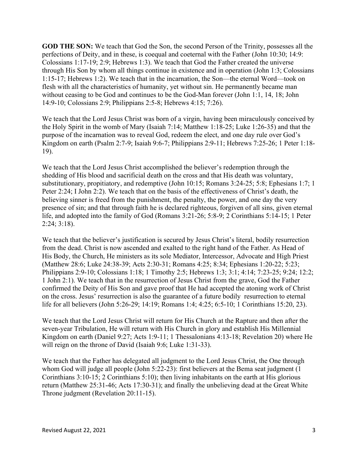GOD THE SON: We teach that God the Son, the second Person of the Trinity, possesses all the perfections of Deity, and in these, is coequal and coeternal with the Father (John 10:30; 14:9: Colossians 1:17-19; 2:9; Hebrews 1:3). We teach that God the Father created the universe through His Son by whom all things continue in existence and in operation (John 1:3; Colossians 1:15-17; Hebrews 1:2). We teach that in the incarnation, the Son—the eternal Word—took on flesh with all the characteristics of humanity, yet without sin. He permanently became man without ceasing to be God and continues to be the God-Man forever (John 1:1, 14, 18; John 14:9-10; Colossians 2:9; Philippians 2:5-8; Hebrews 4:15; 7:26).

We teach that the Lord Jesus Christ was born of a virgin, having been miraculously conceived by the Holy Spirit in the womb of Mary (Isaiah 7:14; Matthew 1:18-25; Luke 1:26-35) and that the purpose of the incarnation was to reveal God, redeem the elect, and one day rule over God's Kingdom on earth (Psalm 2:7-9; Isaiah 9:6-7; Philippians 2:9-11; Hebrews 7:25-26; 1 Peter 1:18- 19).

We teach that the Lord Jesus Christ accomplished the believer's redemption through the shedding of His blood and sacrificial death on the cross and that His death was voluntary, substitutionary, propitiatory, and redemptive (John 10:15; Romans 3:24-25; 5:8; Ephesians 1:7; 1 Peter 2:24; I John 2:2). We teach that on the basis of the effectiveness of Christ's death, the believing sinner is freed from the punishment, the penalty, the power, and one day the very presence of sin; and that through faith he is declared righteous, forgiven of all sins, given eternal life, and adopted into the family of God (Romans 3:21-26; 5:8-9; 2 Corinthians 5:14-15; 1 Peter 2:24; 3:18).

We teach that the believer's justification is secured by Jesus Christ's literal, bodily resurrection from the dead. Christ is now ascended and exalted to the right hand of the Father. As Head of His Body, the Church, He ministers as its sole Mediator, Intercessor, Advocate and High Priest (Matthew 28:6; Luke 24:38-39; Acts 2:30-31; Romans 4:25; 8:34; Ephesians 1:20-22; 5:23; Philippians 2:9-10; Colossians 1:18; 1 Timothy 2:5; Hebrews 1:3; 3:1; 4:14; 7:23-25; 9:24; 12:2; 1 John 2:1). We teach that in the resurrection of Jesus Christ from the grave, God the Father confirmed the Deity of His Son and gave proof that He had accepted the atoning work of Christ on the cross. Jesus' resurrection is also the guarantee of a future bodily resurrection to eternal life for all believers (John 5:26-29; 14:19; Romans 1:4; 4:25; 6:5-10; 1 Corinthians 15:20, 23).

We teach that the Lord Jesus Christ will return for His Church at the Rapture and then after the seven-year Tribulation, He will return with His Church in glory and establish His Millennial Kingdom on earth (Daniel 9:27; Acts 1:9-11; 1 Thessalonians 4:13-18; Revelation 20) where He will reign on the throne of David (Isaiah 9:6; Luke 1:31-33).

We teach that the Father has delegated all judgment to the Lord Jesus Christ, the One through whom God will judge all people (John 5:22-23): first believers at the Bema seat judgment (1) Corinthians 3:10-15; 2 Corinthians 5:10); then living inhabitants on the earth at His glorious return (Matthew 25:31-46; Acts 17:30-31); and finally the unbelieving dead at the Great White Throne judgment (Revelation 20:11-15).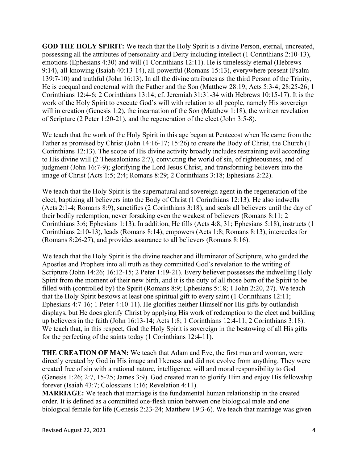GOD THE HOLY SPIRIT: We teach that the Holy Spirit is a divine Person, eternal, uncreated, possessing all the attributes of personality and Deity including intellect (1 Corinthians 2:10-13), emotions (Ephesians 4:30) and will (1 Corinthians 12:11). He is timelessly eternal (Hebrews 9:14), all-knowing (Isaiah 40:13-14), all-powerful (Romans 15:13), everywhere present (Psalm 139:7-10) and truthful (John 16:13). In all the divine attributes as the third Person of the Trinity, He is coequal and coeternal with the Father and the Son (Matthew 28:19; Acts 5:3-4; 28:25-26; 1 Corinthians 12:4-6; 2 Corinthians 13:14; cf. Jeremiah 31:31-34 with Hebrews 10:15-17). It is the work of the Holy Spirit to execute God's will with relation to all people, namely His sovereign will in creation (Genesis 1:2), the incarnation of the Son (Matthew 1:18), the written revelation of Scripture (2 Peter 1:20-21), and the regeneration of the elect (John 3:5-8).

We teach that the work of the Holy Spirit in this age began at Pentecost when He came from the Father as promised by Christ (John 14:16-17; 15:26) to create the Body of Christ, the Church (1 Corinthians 12:13). The scope of His divine activity broadly includes restraining evil according to His divine will (2 Thessalonians 2:7), convicting the world of sin, of righteousness, and of judgment (John 16:7-9); glorifying the Lord Jesus Christ, and transforming believers into the image of Christ (Acts 1:5; 2:4; Romans 8:29; 2 Corinthians 3:18; Ephesians 2:22).

We teach that the Holy Spirit is the supernatural and sovereign agent in the regeneration of the elect, baptizing all believers into the Body of Christ (1 Corinthians 12:13). He also indwells (Acts 2:1-4; Romans 8:9), sanctifies (2 Corinthians 3:18), and seals all believers until the day of their bodily redemption, never forsaking even the weakest of believers (Romans 8:11; 2 Corinthians 3:6; Ephesians 1:13). In addition, He fills (Acts 4:8, 31; Ephesians 5:18), instructs (1 Corinthians 2:10-13), leads (Romans 8:14), empowers (Acts 1:8; Romans 8:13), intercedes for (Romans 8:26-27), and provides assurance to all believers (Romans 8:16).

We teach that the Holy Spirit is the divine teacher and illuminator of Scripture, who guided the Apostles and Prophets into all truth as they committed God's revelation to the writing of Scripture (John 14:26; 16:12-15; 2 Peter 1:19-21). Every believer possesses the indwelling Holy Spirit from the moment of their new birth, and it is the duty of all those born of the Spirit to be filled with (controlled by) the Spirit (Romans 8:9; Ephesians 5:18; 1 John 2:20, 27). We teach that the Holy Spirit bestows at least one spiritual gift to every saint (1 Corinthians 12:11; Ephesians 4:7-16; 1 Peter 4:10-11). He glorifies neither Himself nor His gifts by outlandish displays, but He does glorify Christ by applying His work of redemption to the elect and building up believers in the faith (John 16:13-14; Acts 1:8; 1 Corinthians 12:4-11; 2 Corinthians 3:18). We teach that, in this respect, God the Holy Spirit is sovereign in the bestowing of all His gifts for the perfecting of the saints today (1 Corinthians 12:4-11).

THE CREATION OF MAN: We teach that Adam and Eve, the first man and woman, were directly created by God in His image and likeness and did not evolve from anything. They were created free of sin with a rational nature, intelligence, will and moral responsibility to God (Genesis 1:26; 2:7, 15-25; James 3:9). God created man to glorify Him and enjoy His fellowship forever (Isaiah 43:7; Colossians 1:16; Revelation 4:11).

MARRIAGE: We teach that marriage is the fundamental human relationship in the created order. It is defined as a committed one-flesh union between one biological male and one biological female for life (Genesis 2:23-24; Matthew 19:3-6). We teach that marriage was given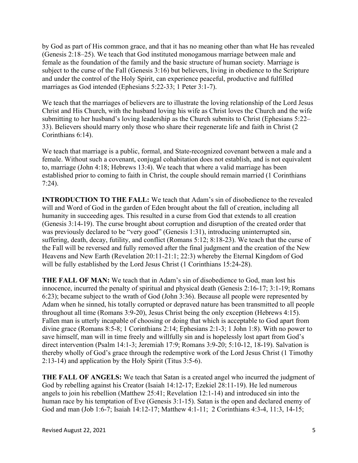by God as part of His common grace, and that it has no meaning other than what He has revealed (Genesis 2:18–25). We teach that God instituted monogamous marriage between male and female as the foundation of the family and the basic structure of human society. Marriage is subject to the curse of the Fall (Genesis 3:16) but believers, living in obedience to the Scripture and under the control of the Holy Spirit, can experience peaceful, productive and fulfilled marriages as God intended (Ephesians 5:22-33; 1 Peter 3:1-7).

We teach that the marriages of believers are to illustrate the loving relationship of the Lord Jesus Christ and His Church, with the husband loving his wife as Christ loves the Church and the wife submitting to her husband's loving leadership as the Church submits to Christ (Ephesians 5:22– 33). Believers should marry only those who share their regenerate life and faith in Christ (2 Corinthians 6:14).

We teach that marriage is a public, formal, and State-recognized covenant between a male and a female. Without such a covenant, conjugal cohabitation does not establish, and is not equivalent to, marriage (John 4:18; Hebrews 13:4). We teach that where a valid marriage has been established prior to coming to faith in Christ, the couple should remain married (1 Corinthians 7:24).

INTRODUCTION TO THE FALL: We teach that Adam's sin of disobedience to the revealed will and Word of God in the garden of Eden brought about the fall of creation, including all humanity in succeeding ages. This resulted in a curse from God that extends to all creation (Genesis 3:14-19). The curse brought about corruption and disruption of the created order that was previously declared to be "very good" (Genesis 1:31), introducing uninterrupted sin, suffering, death, decay, futility, and conflict (Romans 5:12; 8:18-23). We teach that the curse of the Fall will be reversed and fully removed after the final judgment and the creation of the New Heavens and New Earth (Revelation 20:11-21:1; 22:3) whereby the Eternal Kingdom of God will be fully established by the Lord Jesus Christ (1 Corinthians 15:24-28).

THE FALL OF MAN: We teach that in Adam's sin of disobedience to God, man lost his innocence, incurred the penalty of spiritual and physical death (Genesis 2:16-17; 3:1-19; Romans 6:23); became subject to the wrath of God (John 3:36). Because all people were represented by Adam when he sinned, his totally corrupted or depraved nature has been transmitted to all people throughout all time (Romans 3:9-20), Jesus Christ being the only exception (Hebrews 4:15). Fallen man is utterly incapable of choosing or doing that which is acceptable to God apart from divine grace (Romans 8:5-8; 1 Corinthians 2:14; Ephesians 2:1-3; 1 John 1:8). With no power to save himself, man will in time freely and willfully sin and is hopelessly lost apart from God's direct intervention (Psalm 14:1-3; Jeremiah 17:9; Romans 3:9-20; 5:10-12, 18-19). Salvation is thereby wholly of God's grace through the redemptive work of the Lord Jesus Christ (1 Timothy 2:13-14) and application by the Holy Spirit (Titus 3:5-6).

THE FALL OF ANGELS: We teach that Satan is a created angel who incurred the judgment of God by rebelling against his Creator (Isaiah 14:12-17; Ezekiel 28:11-19). He led numerous angels to join his rebellion (Matthew 25:41; Revelation 12:1-14) and introduced sin into the human race by his temptation of Eve (Genesis 3:1-15). Satan is the open and declared enemy of God and man (Job 1:6-7; Isaiah 14:12-17; Matthew 4:1-11; 2 Corinthians 4:3-4, 11:3, 14-15;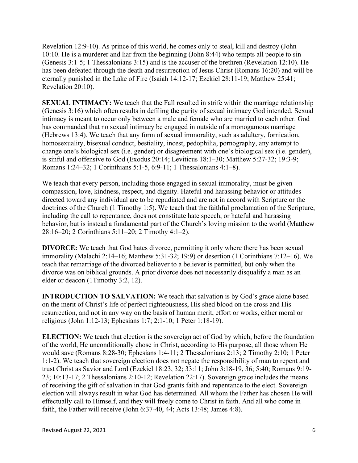Revelation 12:9-10). As prince of this world, he comes only to steal, kill and destroy (John 10:10. He is a murderer and liar from the beginning (John 8:44) who tempts all people to sin (Genesis 3:1-5; 1 Thessalonians 3:15) and is the accuser of the brethren (Revelation 12:10). He has been defeated through the death and resurrection of Jesus Christ (Romans 16:20) and will be eternally punished in the Lake of Fire (Isaiah 14:12-17; Ezekiel 28:11-19; Matthew 25:41; Revelation 20:10).

SEXUAL INTIMACY: We teach that the Fall resulted in strife within the marriage relationship (Genesis 3:16) which often results in defiling the purity of sexual intimacy God intended. Sexual intimacy is meant to occur only between a male and female who are married to each other. God has commanded that no sexual intimacy be engaged in outside of a monogamous marriage (Hebrews 13:4). We teach that any form of sexual immorality, such as adultery, fornication, homosexuality, bisexual conduct, bestiality, incest, pedophilia, pornography, any attempt to change one's biological sex (i.e. gender) or disagreement with one's biological sex (i.e. gender), is sinful and offensive to God (Exodus 20:14; Leviticus 18:1–30; Matthew 5:27-32; 19:3-9; Romans 1:24–32; 1 Corinthians 5:1-5, 6:9-11; 1 Thessalonians 4:1–8).

We teach that every person, including those engaged in sexual immorality, must be given compassion, love, kindness, respect, and dignity. Hateful and harassing behavior or attitudes directed toward any individual are to be repudiated and are not in accord with Scripture or the doctrines of the Church (1 Timothy 1:5). We teach that the faithful proclamation of the Scripture, including the call to repentance, does not constitute hate speech, or hateful and harassing behavior, but is instead a fundamental part of the Church's loving mission to the world (Matthew 28:16–20; 2 Corinthians 5:11–20; 2 Timothy 4:1–2).

DIVORCE: We teach that God hates divorce, permitting it only where there has been sexual immorality (Malachi 2:14–16; Matthew 5:31-32; 19:9) or desertion (1 Corinthians 7:12–16). We teach that remarriage of the divorced believer to a believer is permitted, but only when the divorce was on biblical grounds. A prior divorce does not necessarily disqualify a man as an elder or deacon (1Timothy 3:2, 12).

INTRODUCTION TO SALVATION: We teach that salvation is by God's grace alone based on the merit of Christ's life of perfect righteousness, His shed blood on the cross and His resurrection, and not in any way on the basis of human merit, effort or works, either moral or religious (John 1:12-13; Ephesians 1:7; 2:1-10; 1 Peter 1:18-19).

ELECTION: We teach that election is the sovereign act of God by which, before the foundation of the world, He unconditionally chose in Christ, according to His purpose, all those whom He would save (Romans 8:28-30; Ephesians 1:4-11; 2 Thessalonians 2:13; 2 Timothy 2:10; 1 Peter 1:1-2). We teach that sovereign election does not negate the responsibility of man to repent and trust Christ as Savior and Lord (Ezekiel 18:23, 32; 33:11; John 3:18-19, 36; 5:40; Romans 9:19- 23; 10:13-17; 2 Thessalonians 2:10-12; Revelation 22:17). Sovereign grace includes the means of receiving the gift of salvation in that God grants faith and repentance to the elect. Sovereign election will always result in what God has determined. All whom the Father has chosen He will effectually call to Himself, and they will freely come to Christ in faith. And all who come in faith, the Father will receive (John 6:37-40, 44; Acts 13:48; James 4:8).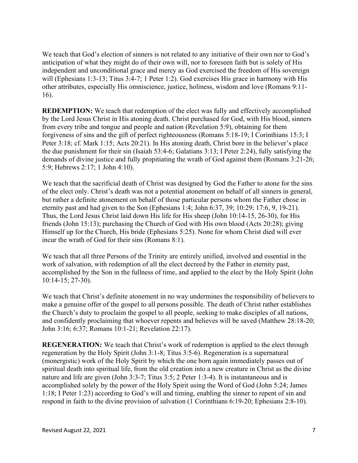We teach that God's election of sinners is not related to any initiative of their own nor to God's anticipation of what they might do of their own will, nor to foreseen faith but is solely of His independent and unconditional grace and mercy as God exercised the freedom of His sovereign will (Ephesians 1:3-13; Titus 3:4-7; 1 Peter 1:2). God exercises His grace in harmony with His other attributes, especially His omniscience, justice, holiness, wisdom and love (Romans 9:11- 16).

REDEMPTION: We teach that redemption of the elect was fully and effectively accomplished by the Lord Jesus Christ in His atoning death. Christ purchased for God, with His blood, sinners from every tribe and tongue and people and nation (Revelation 5:9), obtaining for them forgiveness of sins and the gift of perfect righteousness (Romans 5:18-19; I Corinthians 15:3; I Peter 3:18; cf. Mark 1:15; Acts 20:21). In His atoning death, Christ bore in the believer's place the due punishment for their sin (Isaiah 53:4-6; Galatians 3:13; I Peter 2:24), fully satisfying the demands of divine justice and fully propitiating the wrath of God against them (Romans 3:21-26; 5:9; Hebrews 2:17; 1 John 4:10).

We teach that the sacrificial death of Christ was designed by God the Father to atone for the sins of the elect only. Christ's death was not a potential atonement on behalf of all sinners in general, but rather a definite atonement on behalf of those particular persons whom the Father chose in eternity past and had given to the Son (Ephesians 1:4; John 6:37, 39; 10:29; 17:6, 9, 19-21). Thus, the Lord Jesus Christ laid down His life for His sheep (John 10:14-15, 26-30), for His friends (John 15:13); purchasing the Church of God with His own blood (Acts 20:28); giving Himself up for the Church, His bride (Ephesians 5:25). None for whom Christ died will ever incur the wrath of God for their sins (Romans 8:1).

We teach that all three Persons of the Trinity are entirely unified, involved and essential in the work of salvation, with redemption of all the elect decreed by the Father in eternity past, accomplished by the Son in the fullness of time, and applied to the elect by the Holy Spirit (John 10:14-15; 27-30).

We teach that Christ's definite atonement in no way undermines the responsibility of believers to make a genuine offer of the gospel to all persons possible. The death of Christ rather establishes the Church's duty to proclaim the gospel to all people, seeking to make disciples of all nations, and confidently proclaiming that whoever repents and believes will be saved (Matthew 28:18-20; John 3:16; 6:37; Romans 10:1-21; Revelation 22:17).

REGENERATION: We teach that Christ's work of redemption is applied to the elect through regeneration by the Holy Spirit (John 3:1-8; Titus 3:5-6). Regeneration is a supernatural (monergistic) work of the Holy Spirit by which the one born again immediately passes out of spiritual death into spiritual life, from the old creation into a new creature in Christ as the divine nature and life are given (John 3:3-7; Titus 3:5; 2 Peter 1:3-4). It is instantaneous and is accomplished solely by the power of the Holy Spirit using the Word of God (John 5:24; James 1:18; I Peter 1:23) according to God's will and timing, enabling the sinner to repent of sin and respond in faith to the divine provision of salvation (1 Corinthians 6:19-20; Ephesians 2:8-10).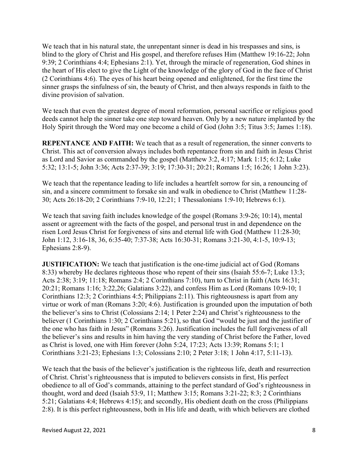We teach that in his natural state, the unrepentant sinner is dead in his trespasses and sins, is blind to the glory of Christ and His gospel, and therefore refuses Him (Matthew 19:16-22; John 9:39; 2 Corinthians 4:4; Ephesians 2:1). Yet, through the miracle of regeneration, God shines in the heart of His elect to give the Light of the knowledge of the glory of God in the face of Christ (2 Corinthians 4:6). The eyes of his heart being opened and enlightened, for the first time the sinner grasps the sinfulness of sin, the beauty of Christ, and then always responds in faith to the divine provision of salvation.

We teach that even the greatest degree of moral reformation, personal sacrifice or religious good deeds cannot help the sinner take one step toward heaven. Only by a new nature implanted by the Holy Spirit through the Word may one become a child of God (John 3:5; Titus 3:5; James 1:18).

REPENTANCE AND FAITH: We teach that as a result of regeneration, the sinner converts to Christ. This act of conversion always includes both repentance from sin and faith in Jesus Christ as Lord and Savior as commanded by the gospel (Matthew 3:2, 4:17; Mark 1:15; 6:12; Luke 5:32; 13:1-5; John 3:36; Acts 2:37-39; 3:19; 17:30-31; 20:21; Romans 1:5; 16:26; 1 John 3:23).

We teach that the repentance leading to life includes a heartfelt sorrow for sin, a renouncing of sin, and a sincere commitment to forsake sin and walk in obedience to Christ (Matthew 11:28- 30; Acts 26:18-20; 2 Corinthians 7:9-10, 12:21; 1 Thessalonians 1:9-10; Hebrews 6:1).

We teach that saving faith includes knowledge of the gospel (Romans 3:9-26; 10:14), mental assent or agreement with the facts of the gospel, and personal trust in and dependence on the risen Lord Jesus Christ for forgiveness of sins and eternal life with God (Matthew 11:28-30; John 1:12, 3:16-18, 36, 6:35-40; 7:37-38; Acts 16:30-31; Romans 3:21-30, 4:1-5, 10:9-13; Ephesians 2:8-9).

JUSTIFICATION: We teach that justification is the one-time judicial act of God (Romans 8:33) whereby He declares righteous those who repent of their sins (Isaiah 55:6-7; Luke 13:3; Acts 2:38; 3:19; 11:18; Romans 2:4; 2 Corinthians 7:10), turn to Christ in faith (Acts 16:31; 20:21; Romans 1:16; 3:22,26; Galatians 3:22), and confess Him as Lord (Romans 10:9-10; 1 Corinthians 12:3; 2 Corinthians 4:5; Philippians 2:11). This righteousness is apart from any virtue or work of man (Romans 3:20; 4:6). Justification is grounded upon the imputation of both the believer's sins to Christ (Colossians 2:14; 1 Peter 2:24) and Christ's righteousness to the believer (1 Corinthians 1:30; 2 Corinthians 5:21), so that God "would be just and the justifier of the one who has faith in Jesus" (Romans 3:26). Justification includes the full forgiveness of all the believer's sins and results in him having the very standing of Christ before the Father, loved as Christ is loved, one with Him forever (John 5:24, 17:23; Acts 13:39; Romans 5:1; 1 Corinthians 3:21-23; Ephesians 1:3; Colossians 2:10; 2 Peter 3:18; 1 John 4:17, 5:11-13).

We teach that the basis of the believer's justification is the righteous life, death and resurrection of Christ. Christ's righteousness that is imputed to believers consists in first, His perfect obedience to all of God's commands, attaining to the perfect standard of God's righteousness in thought, word and deed (Isaiah 53:9, 11; Matthew 3:15; Romans 3:21-22; 8:3; 2 Corinthians 5:21; Galatians 4:4; Hebrews 4:15); and secondly, His obedient death on the cross (Philippians 2:8). It is this perfect righteousness, both in His life and death, with which believers are clothed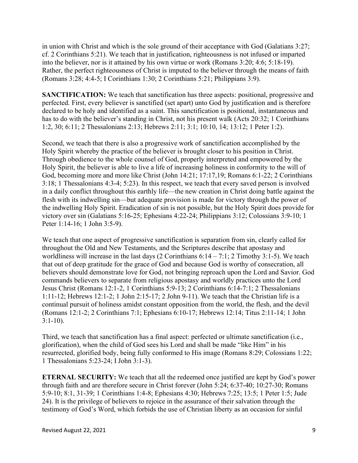in union with Christ and which is the sole ground of their acceptance with God (Galatians 3:27; cf. 2 Corinthians 5:21). We teach that in justification, righteousness is not infused or imparted into the believer, nor is it attained by his own virtue or work (Romans 3:20; 4:6; 5:18-19). Rather, the perfect righteousness of Christ is imputed to the believer through the means of faith (Romans 3:28; 4:4-5; I Corinthians 1:30; 2 Corinthians 5:21; Philippians 3:9).

SANCTIFICATION: We teach that sanctification has three aspects: positional, progressive and perfected. First, every believer is sanctified (set apart) unto God by justification and is therefore declared to be holy and identified as a saint. This sanctification is positional, instantaneous and has to do with the believer's standing in Christ, not his present walk (Acts 20:32; 1 Corinthians 1:2, 30; 6:11; 2 Thessalonians 2:13; Hebrews 2:11; 3:1; 10:10, 14; 13:12; 1 Peter 1:2).

Second, we teach that there is also a progressive work of sanctification accomplished by the Holy Spirit whereby the practice of the believer is brought closer to his position in Christ. Through obedience to the whole counsel of God, properly interpreted and empowered by the Holy Spirit, the believer is able to live a life of increasing holiness in conformity to the will of God, becoming more and more like Christ (John 14:21; 17:17,19; Romans 6:1-22; 2 Corinthians 3:18; 1 Thessalonians 4:3-4; 5:23). In this respect, we teach that every saved person is involved in a daily conflict throughout this earthly life—the new creation in Christ doing battle against the flesh with its indwelling sin—but adequate provision is made for victory through the power of the indwelling Holy Spirit. Eradication of sin is not possible, but the Holy Spirit does provide for victory over sin (Galatians 5:16-25; Ephesians 4:22-24; Philippians 3:12; Colossians 3:9-10; 1 Peter 1:14-16; 1 John 3:5-9).

We teach that one aspect of progressive sanctification is separation from sin, clearly called for throughout the Old and New Testaments, and the Scriptures describe that apostasy and worldliness will increase in the last days (2 Corinthians  $6:14 - 7:1$ ; 2 Timothy 3:1-5). We teach that out of deep gratitude for the grace of God and because God is worthy of consecration, all believers should demonstrate love for God, not bringing reproach upon the Lord and Savior. God commands believers to separate from religious apostasy and worldly practices unto the Lord Jesus Christ (Romans 12:1-2, 1 Corinthians 5:9-13; 2 Corinthians 6:14-7:1; 2 Thessalonians 1:11-12; Hebrews 12:1-2; 1 John 2:15-17; 2 John 9-11). We teach that the Christian life is a continual pursuit of holiness amidst constant opposition from the world, the flesh, and the devil (Romans 12:1-2; 2 Corinthians 7:1; Ephesians 6:10-17; Hebrews 12:14; Titus 2:11-14; 1 John  $3:1-10$ ).

Third, we teach that sanctification has a final aspect: perfected or ultimate sanctification (i.e., glorification), when the child of God sees his Lord and shall be made "like Him" in his resurrected, glorified body, being fully conformed to His image (Romans 8:29; Colossians 1:22; 1 Thessalonians 5:23-24; I John 3:1-3).

ETERNAL SECURITY: We teach that all the redeemed once justified are kept by God's power through faith and are therefore secure in Christ forever (John 5:24; 6:37-40; 10:27-30; Romans 5:9-10; 8:1, 31-39; 1 Corinthians 1:4-8; Ephesians 4:30; Hebrews 7:25; 13:5; 1 Peter 1:5; Jude 24). It is the privilege of believers to rejoice in the assurance of their salvation through the testimony of God's Word, which forbids the use of Christian liberty as an occasion for sinful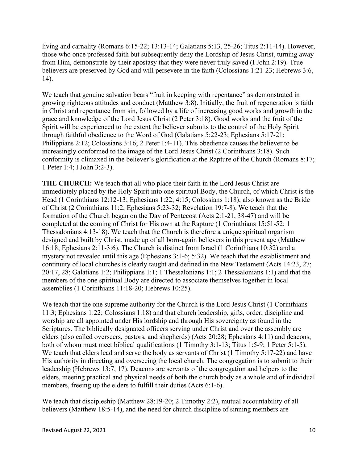living and carnality (Romans 6:15-22; 13:13-14; Galatians 5:13, 25-26; Titus 2:11-14). However, those who once professed faith but subsequently deny the Lordship of Jesus Christ, turning away from Him, demonstrate by their apostasy that they were never truly saved (I John 2:19). True believers are preserved by God and will persevere in the faith (Colossians 1:21-23; Hebrews 3:6, 14).

We teach that genuine salvation bears "fruit in keeping with repentance" as demonstrated in growing righteous attitudes and conduct (Matthew 3:8). Initially, the fruit of regeneration is faith in Christ and repentance from sin, followed by a life of increasing good works and growth in the grace and knowledge of the Lord Jesus Christ (2 Peter 3:18). Good works and the fruit of the Spirit will be experienced to the extent the believer submits to the control of the Holy Spirit through faithful obedience to the Word of God (Galatians 5:22-23; Ephesians 5:17-21; Philippians 2:12; Colossians 3:16; 2 Peter 1:4-11). This obedience causes the believer to be increasingly conformed to the image of the Lord Jesus Christ (2 Corinthians 3:18). Such conformity is climaxed in the believer's glorification at the Rapture of the Church (Romans 8:17; 1 Peter 1:4; I John 3:2-3).

THE CHURCH: We teach that all who place their faith in the Lord Jesus Christ are immediately placed by the Holy Spirit into one spiritual Body, the Church, of which Christ is the Head (1 Corinthians 12:12-13; Ephesians 1:22; 4:15; Colossians 1:18); also known as the Bride of Christ (2 Corinthians 11:2; Ephesians 5:23-32; Revelation 19:7-8). We teach that the formation of the Church began on the Day of Pentecost (Acts 2:1-21, 38-47) and will be completed at the coming of Christ for His own at the Rapture (1 Corinthians 15:51-52; 1 Thessalonians 4:13-18). We teach that the Church is therefore a unique spiritual organism designed and built by Christ, made up of all born-again believers in this present age (Matthew 16:18; Ephesians 2:11-3:6). The Church is distinct from Israel (1 Corinthians 10:32) and a mystery not revealed until this age (Ephesians 3:1-6; 5:32). We teach that the establishment and continuity of local churches is clearly taught and defined in the New Testament (Acts 14:23, 27; 20:17, 28; Galatians 1:2; Philippians 1:1; 1 Thessalonians 1:1; 2 Thessalonians 1:1) and that the members of the one spiritual Body are directed to associate themselves together in local assemblies (1 Corinthians 11:18-20; Hebrews 10:25).

We teach that the one supreme authority for the Church is the Lord Jesus Christ (1 Corinthians 11:3; Ephesians 1:22; Colossians 1:18) and that church leadership, gifts, order, discipline and worship are all appointed under His lordship and through His sovereignty as found in the Scriptures. The biblically designated officers serving under Christ and over the assembly are elders (also called overseers, pastors, and shepherds) (Acts 20:28; Ephesians 4:11) and deacons, both of whom must meet biblical qualifications (1 Timothy 3:1-13; Titus 1:5-9; 1 Peter 5:1-5). We teach that elders lead and serve the body as servants of Christ (1 Timothy 5:17-22) and have His authority in directing and overseeing the local church. The congregation is to submit to their leadership (Hebrews 13:7, 17). Deacons are servants of the congregation and helpers to the elders, meeting practical and physical needs of both the church body as a whole and of individual members, freeing up the elders to fulfill their duties (Acts 6:1-6).

We teach that discipleship (Matthew 28:19-20; 2 Timothy 2:2), mutual accountability of all believers (Matthew 18:5-14), and the need for church discipline of sinning members are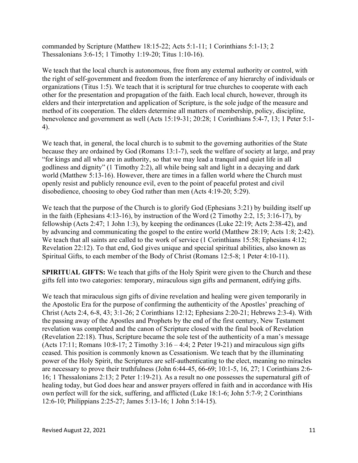commanded by Scripture (Matthew 18:15-22; Acts 5:1-11; 1 Corinthians 5:1-13; 2 Thessalonians 3:6-15; 1 Timothy 1:19-20; Titus 1:10-16).

We teach that the local church is autonomous, free from any external authority or control, with the right of self-government and freedom from the interference of any hierarchy of individuals or organizations (Titus 1:5). We teach that it is scriptural for true churches to cooperate with each other for the presentation and propagation of the faith. Each local church, however, through its elders and their interpretation and application of Scripture, is the sole judge of the measure and method of its cooperation. The elders determine all matters of membership, policy, discipline, benevolence and government as well (Acts 15:19-31; 20:28; 1 Corinthians 5:4-7, 13; 1 Peter 5:1- 4).

We teach that, in general, the local church is to submit to the governing authorities of the State because they are ordained by God (Romans 13:1-7), seek the welfare of society at large, and pray "for kings and all who are in authority, so that we may lead a tranquil and quiet life in all godliness and dignity" (1 Timothy 2:2), all while being salt and light in a decaying and dark world (Matthew 5:13-16). However, there are times in a fallen world where the Church must openly resist and publicly renounce evil, even to the point of peaceful protest and civil disobedience, choosing to obey God rather than men (Acts 4:19-20; 5:29).

We teach that the purpose of the Church is to glorify God (Ephesians 3:21) by building itself up in the faith (Ephesians 4:13-16), by instruction of the Word (2 Timothy 2:2, 15; 3:16-17), by fellowship (Acts 2:47; 1 John 1:3), by keeping the ordinances (Luke 22:19; Acts 2:38-42), and by advancing and communicating the gospel to the entire world (Matthew 28:19; Acts 1:8; 2:42). We teach that all saints are called to the work of service (1 Corinthians 15:58; Ephesians 4:12; Revelation 22:12). To that end, God gives unique and special spiritual abilities, also known as Spiritual Gifts, to each member of the Body of Christ (Romans 12:5-8; 1 Peter 4:10-11).

SPIRITUAL GIFTS: We teach that gifts of the Holy Spirit were given to the Church and these gifts fell into two categories: temporary, miraculous sign gifts and permanent, edifying gifts.

We teach that miraculous sign gifts of divine revelation and healing were given temporarily in the Apostolic Era for the purpose of confirming the authenticity of the Apostles' preaching of Christ (Acts 2:4, 6-8, 43; 3:1-26; 2 Corinthians 12:12; Ephesians 2:20-21; Hebrews 2:3-4). With the passing away of the Apostles and Prophets by the end of the first century, New Testament revelation was completed and the canon of Scripture closed with the final book of Revelation (Revelation 22:18). Thus, Scripture became the sole test of the authenticity of a man's message (Acts 17:11; Romans 10:8-17; 2 Timothy  $3:16 - 4:4$ ; 2 Peter 19-21) and miraculous sign gifts ceased. This position is commonly known as Cessationism. We teach that by the illuminating power of the Holy Spirit, the Scriptures are self-authenticating to the elect, meaning no miracles are necessary to prove their truthfulness (John 6:44-45, 66-69; 10:1-5, 16, 27; 1 Corinthians 2:6- 16; 1 Thessalonians 2:13; 2 Peter 1:19-21). As a result no one possesses the supernatural gift of healing today, but God does hear and answer prayers offered in faith and in accordance with His own perfect will for the sick, suffering, and afflicted (Luke 18:1-6; John 5:7-9; 2 Corinthians 12:6-10; Philippians 2:25-27; James 5:13-16; 1 John 5:14-15).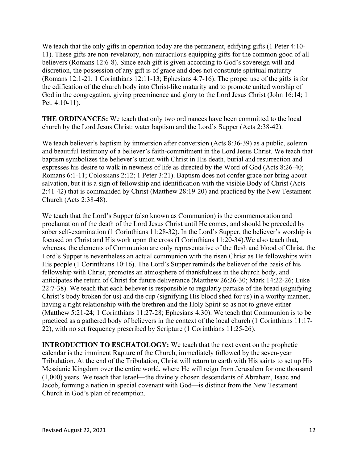We teach that the only gifts in operation today are the permanent, edifying gifts (1 Peter 4:10-11). These gifts are non-revelatory, non-miraculous equipping gifts for the common good of all believers (Romans 12:6-8). Since each gift is given according to God's sovereign will and discretion, the possession of any gift is of grace and does not constitute spiritual maturity (Romans 12:1-21; 1 Corinthians 12:11-13; Ephesians 4:7-16). The proper use of the gifts is for the edification of the church body into Christ-like maturity and to promote united worship of God in the congregation, giving preeminence and glory to the Lord Jesus Christ (John 16:14; 1) Pet. 4:10-11).

THE ORDINANCES: We teach that only two ordinances have been committed to the local church by the Lord Jesus Christ: water baptism and the Lord's Supper (Acts 2:38-42).

We teach believer's baptism by immersion after conversion (Acts 8:36-39) as a public, solemn and beautiful testimony of a believer's faith-commitment in the Lord Jesus Christ. We teach that baptism symbolizes the believer's union with Christ in His death, burial and resurrection and expresses his desire to walk in newness of life as directed by the Word of God (Acts 8:26-40; Romans 6:1-11; Colossians 2:12; 1 Peter 3:21). Baptism does not confer grace nor bring about salvation, but it is a sign of fellowship and identification with the visible Body of Christ (Acts 2:41-42) that is commanded by Christ (Matthew 28:19-20) and practiced by the New Testament Church (Acts 2:38-48).

We teach that the Lord's Supper (also known as Communion) is the commemoration and proclamation of the death of the Lord Jesus Christ until He comes, and should be preceded by sober self-examination (1 Corinthians 11:28-32). In the Lord's Supper, the believer's worship is focused on Christ and His work upon the cross (I Corinthians 11:20-34).We also teach that, whereas, the elements of Communion are only representative of the flesh and blood of Christ, the Lord's Supper is nevertheless an actual communion with the risen Christ as He fellowships with His people (1 Corinthians 10:16). The Lord's Supper reminds the believer of the basis of his fellowship with Christ, promotes an atmosphere of thankfulness in the church body, and anticipates the return of Christ for future deliverance (Matthew 26:26-30; Mark 14:22-26; Luke 22:7-38). We teach that each believer is responsible to regularly partake of the bread (signifying Christ's body broken for us) and the cup (signifying His blood shed for us) in a worthy manner, having a right relationship with the brethren and the Holy Spirit so as not to grieve either (Matthew 5:21-24; 1 Corinthians 11:27-28; Ephesians 4:30). We teach that Communion is to be practiced as a gathered body of believers in the context of the local church (1 Corinthians 11:17- 22), with no set frequency prescribed by Scripture (1 Corinthians 11:25-26).

INTRODUCTION TO ESCHATOLOGY: We teach that the next event on the prophetic calendar is the imminent Rapture of the Church, immediately followed by the seven-year Tribulation. At the end of the Tribulation, Christ will return to earth with His saints to set up His Messianic Kingdom over the entire world, where He will reign from Jerusalem for one thousand (1,000) years. We teach that Israel—the divinely chosen descendants of Abraham, Isaac and Jacob, forming a nation in special covenant with God—is distinct from the New Testament Church in God's plan of redemption.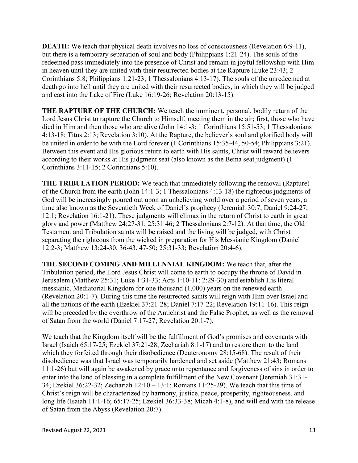DEATH: We teach that physical death involves no loss of consciousness (Revelation 6:9-11), but there is a temporary separation of soul and body (Philippians 1:21-24). The souls of the redeemed pass immediately into the presence of Christ and remain in joyful fellowship with Him in heaven until they are united with their resurrected bodies at the Rapture (Luke 23:43; 2 Corinthians 5:8; Philippians 1:21-23; 1 Thessalonians 4:13-17). The souls of the unredeemed at death go into hell until they are united with their resurrected bodies, in which they will be judged and cast into the Lake of Fire (Luke 16:19-26; Revelation 20:13-15).

THE RAPTURE OF THE CHURCH: We teach the imminent, personal, bodily return of the Lord Jesus Christ to rapture the Church to Himself, meeting them in the air; first, those who have died in Him and then those who are alive (John 14:1-3; 1 Corinthians 15:51-53; 1 Thessalonians 4:13-18; Titus 2:13; Revelation 3:10). At the Rapture, the believer's soul and glorified body will be united in order to be with the Lord forever (1 Corinthians 15:35-44, 50-54; Philippians 3:21). Between this event and His glorious return to earth with His saints, Christ will reward believers according to their works at His judgment seat (also known as the Bema seat judgment) (1 Corinthians 3:11-15; 2 Corinthians 5:10).

THE TRIBULATION PERIOD: We teach that immediately following the removal (Rapture) of the Church from the earth (John 14:1-3; 1 Thessalonians 4:13-18) the righteous judgments of God will be increasingly poured out upon an unbelieving world over a period of seven years, a time also known as the Seventieth Week of Daniel's prophecy (Jeremiah 30:7; Daniel 9:24-27; 12:1; Revelation 16:1-21). These judgments will climax in the return of Christ to earth in great glory and power (Matthew 24:27-31; 25:31 46; 2 Thessalonians 2:7-12). At that time, the Old Testament and Tribulation saints will be raised and the living will be judged, with Christ separating the righteous from the wicked in preparation for His Messianic Kingdom (Daniel 12:2-3; Matthew 13:24-30, 36-43, 47-50; 25:31-33; Revelation 20:4-6).

THE SECOND COMING AND MILLENNIAL KINGDOM: We teach that, after the Tribulation period, the Lord Jesus Christ will come to earth to occupy the throne of David in Jerusalem (Matthew 25:31; Luke 1:31-33; Acts 1:10-11; 2:29-30) and establish His literal messianic, Mediatorial Kingdom for one thousand (1,000) years on the renewed earth (Revelation 20:1-7). During this time the resurrected saints will reign with Him over Israel and all the nations of the earth (Ezekiel 37:21-28; Daniel 7:17-22; Revelation 19:11-16). This reign will be preceded by the overthrow of the Antichrist and the False Prophet, as well as the removal of Satan from the world (Daniel 7:17-27; Revelation 20:1-7).

We teach that the Kingdom itself will be the fulfillment of God's promises and covenants with Israel (Isaiah 65:17-25; Ezekiel 37:21-28; Zechariah 8:1-17) and to restore them to the land which they forfeited through their disobedience (Deuteronomy 28:15-68). The result of their disobedience was that Israel was temporarily hardened and set aside (Matthew 21:43; Romans 11:1-26) but will again be awakened by grace unto repentance and forgiveness of sins in order to enter into the land of blessing in a complete fulfillment of the New Covenant (Jeremiah 31:31- 34; Ezekiel 36:22-32; Zechariah 12:10 – 13:1; Romans 11:25-29). We teach that this time of Christ's reign will be characterized by harmony, justice, peace, prosperity, righteousness, and long life (Isaiah 11:1-16; 65:17-25; Ezekiel 36:33-38; Micah 4:1-8), and will end with the release of Satan from the Abyss (Revelation 20:7).